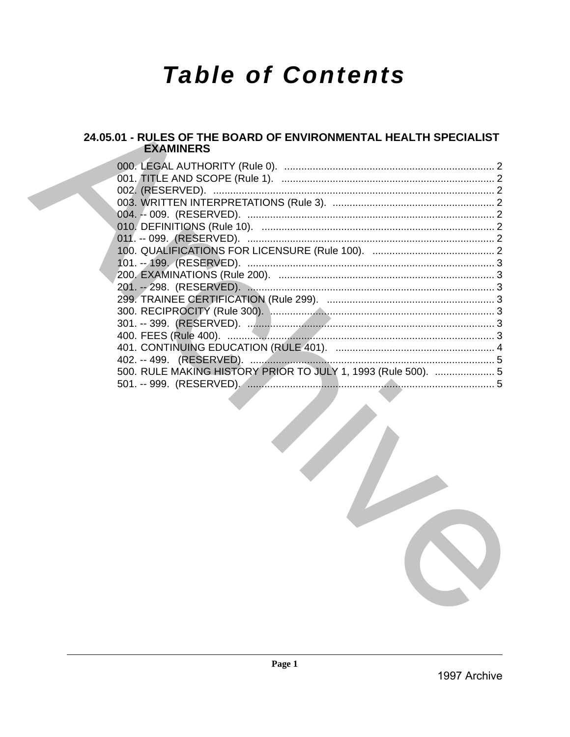# **Table of Contents**

# 24.05.01 - RULES OF THE BOARD OF ENVIRONMENTAL HEALTH SPECIALIST **EXAMINERS**

| 500. RULE MAKING HISTORY PRIOR TO JULY 1, 1993 (Rule 500).  5 |  |
|---------------------------------------------------------------|--|
|                                                               |  |
|                                                               |  |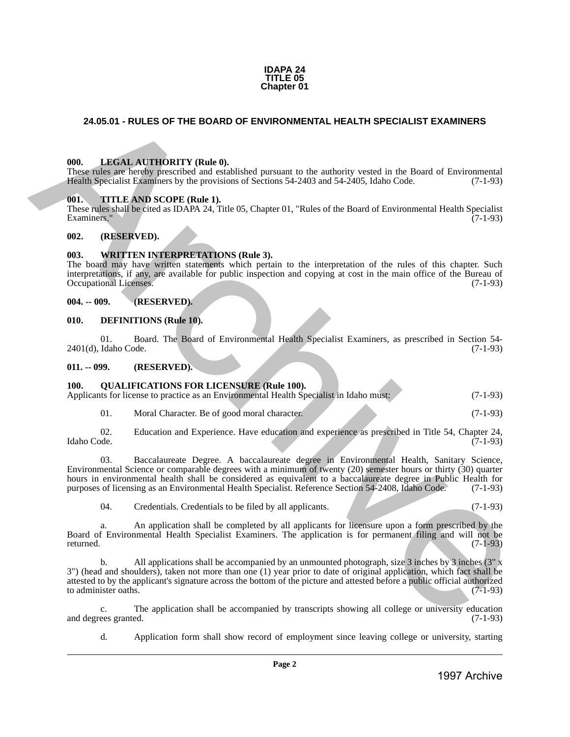#### **IDAPA 24 TITLE 05 Chapter 01**

# <span id="page-1-0"></span>**24.05.01 - RULES OF THE BOARD OF ENVIRONMENTAL HEALTH SPECIALIST EXAMINERS**

#### <span id="page-1-1"></span>**000. LEGAL AUTHORITY (Rule 0).**

These rules are hereby prescribed and established pursuant to the authority vested in the Board of Environmental Health Specialist Examiners by the provisions of Sections 54-2403 and 54-2405, Idaho Code. (7-1-93)

#### <span id="page-1-2"></span>**001. TITLE AND SCOPE (Rule 1).**

These rules shall be cited as IDAPA 24, Title 05, Chapter 01, "Rules of the Board of Environmental Health Specialist Examiners." (7-1-93)

#### <span id="page-1-3"></span>**002. (RESERVED).**

#### <span id="page-1-4"></span>**003. WRITTEN INTERPRETATIONS (Rule 3).**

The board may have written statements which pertain to the interpretation of the rules of this chapter. Such interpretations, if any, are available for public inspection and copying at cost in the main office of the Bureau of Occupational Licenses.

#### <span id="page-1-5"></span>**004. -- 009. (RESERVED).**

#### <span id="page-1-6"></span>**010. DEFINITIONS (Rule 10).**

01. Board. The Board of Environmental Health Specialist Examiners, as prescribed in Section 54-<br>Idaho Code. (7-1-93)  $2401(d)$ , Idaho Code.

<span id="page-1-7"></span>**011. -- 099. (RESERVED).**

#### <span id="page-1-8"></span>**100. QUALIFICATIONS FOR LICENSURE (Rule 100).**

| Applicants for license to practice as an Environmental Health Specialist in Idaho must: |  | $(7-1-93)$ |
|-----------------------------------------------------------------------------------------|--|------------|
|                                                                                         |  |            |
|                                                                                         |  |            |

01. Moral Character. Be of good moral character. (7-1-93)

02. Education and Experience. Have education and experience as prescribed in Title 54, Chapter 24, Idaho Code. (7-1-93) Idaho Code. (7-1-93)

03. Baccalaureate Degree. A baccalaureate degree in Environmental Health, Sanitary Science, Environmental Science or comparable degrees with a minimum of twenty (20) semester hours or thirty (30) quarter hours in environmental health shall be considered as equivalent to a baccalaureate degree in Public Health for purposes of licensing as an Environmental Health Specialist. Reference Section 54-2408, Idaho Code. (7-1-93) 24.05.01 - RULES OF THE BOARD OF ENVIRONMENTAL HEALTH SPECIALIST EXAMINERS<br>
1998. LIMÉN LA TRIORITY (Rebe),<br>
These since the control of the material special of the material special of the control of the control of the sin

04. Credentials. Credentials to be filed by all applicants. (7-1-93)

a. An application shall be completed by all applicants for licensure upon a form prescribed by the Board of Environmental Health Specialist Examiners. The application is for permanent filing and will not be returned.  $(7-1-93)$ 

b. All applications shall be accompanied by an unmounted photograph, size 3 inches by 3 inches (3" x 3") (head and shoulders), taken not more than one (1) year prior to date of original application, which fact shall be attested to by the applicant's signature across the bottom of the picture and attested before a public official authorized to administer oaths. (7-1-93) to administer oaths.

c. The application shall be accompanied by transcripts showing all college or university education ees granted. (7-1-93) and degrees granted.

d. Application form shall show record of employment since leaving college or university, starting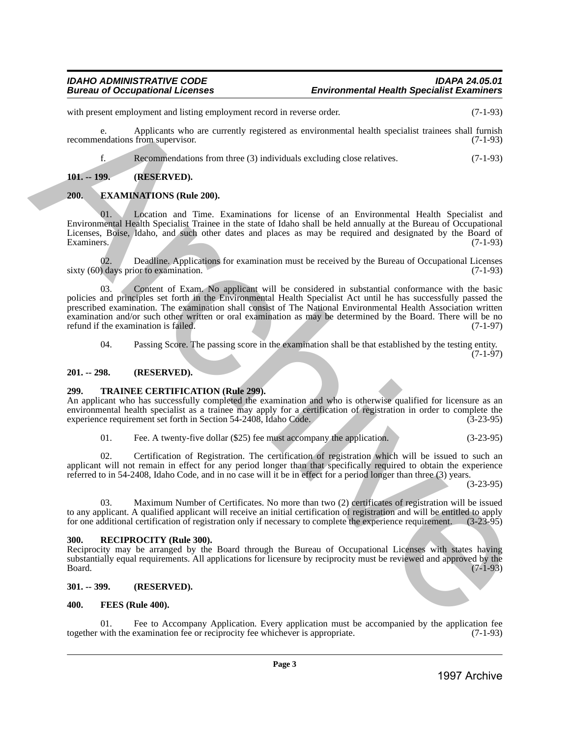with present employment and listing employment record in reverse order. (7-1-93)

e. Applicants who are currently registered as environmental health specialist trainees shall furnish recommendations from supervisor. (7-1-93)

f. Recommendations from three (3) individuals excluding close relatives. (7-1-93)

# <span id="page-2-0"></span>**101. -- 199. (RESERVED).**

# <span id="page-2-1"></span>**200. EXAMINATIONS (Rule 200).**

Location and Time. Examinations for license of an Environmental Health Specialist and Environmental Health Specialist Trainee in the state of Idaho shall be held annually at the Bureau of Occupational Licenses, Boise, Idaho, and such other dates and places as may be required and designated by the Board of Examiners. (7-1-93)

02. Deadline. Applications for examination must be received by the Bureau of Occupational Licenses<br>
(7-1-93) sixty  $(60)$  days prior to examination.

Content of Exam. No applicant will be considered in substantial conformance with the basic policies and principles set forth in the Environmental Health Specialist Act until he has successfully passed the prescribed examination. The examination shall consist of The National Environmental Health Association written examination and/or such other written or oral examination as may be determined by the Board. There will be no refund if the examination is failed. (7-1-97) with particular indices the interesting experiment the collective of the interesting interest of the interest of the interest of the interest of the interest of the interest of the interest of the interest of the interest

04. Passing Score. The passing score in the examination shall be that established by the testing entity.

(7-1-97)

#### <span id="page-2-2"></span>**201. -- 298. (RESERVED).**

# <span id="page-2-3"></span>**299. TRAINEE CERTIFICATION (Rule 299).**

An applicant who has successfully completed the examination and who is otherwise qualified for licensure as an environmental health specialist as a trainee may apply for a certification of registration in order to complete the experience requirement set forth in Section 54-2408, Idaho Code. (3-23-95)

| 01. | Fee. A twenty-five dollar (\$25) fee must accompany the application. |  |  |  | $(3-23-95)$ |
|-----|----------------------------------------------------------------------|--|--|--|-------------|
|-----|----------------------------------------------------------------------|--|--|--|-------------|

02. Certification of Registration. The certification of registration which will be issued to such an applicant will not remain in effect for any period longer than that specifically required to obtain the experience referred to in 54-2408, Idaho Code, and in no case will it be in effect for a period longer than three (3) years.

(3-23-95)

03. Maximum Number of Certificates. No more than two (2) certificates of registration will be issued to any applicant. A qualified applicant will receive an initial certification of registration and will be entitled to apply<br>for one additional certification of registration only if necessary to complete the experience requ for one additional certification of registration only if necessary to complete the experience requirement.

# <span id="page-2-4"></span>**300. RECIPROCITY (Rule 300).**

Reciprocity may be arranged by the Board through the Bureau of Occupational Licenses with states having substantially equal requirements. All applications for licensure by reciprocity must be reviewed and approved by the Board. (7-1-93)  $Board.$  (7-1-93)

# <span id="page-2-5"></span>**301. -- 399. (RESERVED).**

# <span id="page-2-6"></span>**400. FEES (Rule 400).**

Fee to Accompany Application. Every application must be accompanied by the application fee examination fee or reciprocity fee whichever is appropriate. (7-1-93) together with the examination fee or reciprocity fee whichever is appropriate.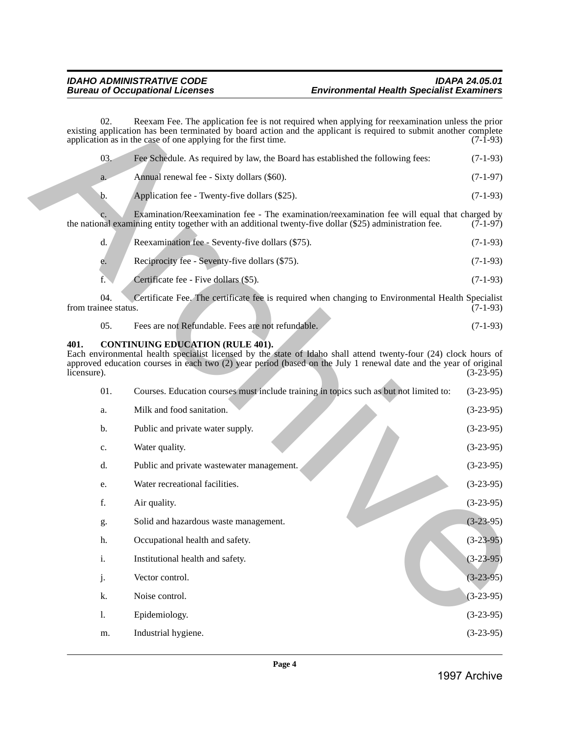| 03.     | Fee Schedule. As required by law, the Board has established the following fees: | $(7-1-93)$ |
|---------|---------------------------------------------------------------------------------|------------|
| $a_{-}$ | Annual renewal fee - Sixty dollars (\$60).                                      | $(7-1-97)$ |
|         | Application fee - Twenty-five dollars (\$25).                                   | $(7-1-93)$ |

|    | Reexamination fee - Seventy-five dollars (\$75). | $(7-1-93)$ |
|----|--------------------------------------------------|------------|
| e. | Reciprocity fee - Seventy-five dollars (\$75).   | $(7-1-93)$ |
|    | Certificate fee - Five dollars (\$5).            | $(7-1-93)$ |

| -05. | Fees are not Refundable. Fees are not refundable. | $(7-1-93)$ |
|------|---------------------------------------------------|------------|
|      |                                                   |            |

# <span id="page-3-0"></span>**401. CONTINUING EDUCATION (RULE 401).**

|                     | application as in the case of one applying for the first time. |                                                                                                                                                                                                                                                                                  |                                                                                                       |
|---------------------|----------------------------------------------------------------|----------------------------------------------------------------------------------------------------------------------------------------------------------------------------------------------------------------------------------------------------------------------------------|-------------------------------------------------------------------------------------------------------|
|                     | 03.                                                            | Fee Schedule. As required by law, the Board has established the following fees:                                                                                                                                                                                                  | $(7-1-93)$                                                                                            |
|                     | a.                                                             | Annual renewal fee - Sixty dollars (\$60).                                                                                                                                                                                                                                       | $(7-1-97)$                                                                                            |
|                     | b.                                                             | Application fee - Twenty-five dollars (\$25).                                                                                                                                                                                                                                    | $(7-1-93)$                                                                                            |
|                     |                                                                | Examination/Reexamination fee - The examination/reexamination fee will equal that charged by<br>the national examining entity together with an additional twenty-five dollar (\$25) administration fee.                                                                          | $(7-1-97)$                                                                                            |
|                     | d.                                                             | Reexamination fee - Seventy-five dollars (\$75).                                                                                                                                                                                                                                 | $(7-1-93)$                                                                                            |
|                     | e.                                                             | Reciprocity fee - Seventy-five dollars (\$75).                                                                                                                                                                                                                                   | $(7-1-93)$                                                                                            |
|                     | f.                                                             | Certificate fee - Five dollars (\$5).                                                                                                                                                                                                                                            | $(7-1-93)$                                                                                            |
|                     | 04.<br>from trainee status.                                    | Certificate Fee. The certificate fee is required when changing to Environmental Health Specialist                                                                                                                                                                                | $(7-1-93)$                                                                                            |
|                     | 05.                                                            | Fees are not Refundable. Fees are not refundable.                                                                                                                                                                                                                                | $(7-1-93)$                                                                                            |
| 401.<br>licensure). |                                                                | <b>CONTINUING EDUCATION (RULE 401).</b><br>Each environmental health specialist licensed by the state of Idaho shall attend twenty-four (24) clock hours of<br>approved education courses in each two (2) year period (based on the July 1 renewal date and the year of original |                                                                                                       |
|                     |                                                                |                                                                                                                                                                                                                                                                                  |                                                                                                       |
|                     | 01.                                                            | Courses. Education courses must include training in topics such as but not limited to:                                                                                                                                                                                           |                                                                                                       |
|                     | a.                                                             | Milk and food sanitation.                                                                                                                                                                                                                                                        |                                                                                                       |
|                     | b.                                                             | Public and private water supply.                                                                                                                                                                                                                                                 |                                                                                                       |
|                     | c.                                                             | Water quality.                                                                                                                                                                                                                                                                   |                                                                                                       |
|                     | d.                                                             | Public and private wastewater management.                                                                                                                                                                                                                                        | $(3-23-95)$<br>$(3-23-95)$<br>$(3-23-95)$<br>$(3-23-95)$<br>$(3-23-95)$<br>$(3-23-95)$                |
|                     | e.                                                             | Water recreational facilities.                                                                                                                                                                                                                                                   |                                                                                                       |
|                     | f.                                                             | Air quality.                                                                                                                                                                                                                                                                     |                                                                                                       |
|                     | g.                                                             | Solid and hazardous waste management.                                                                                                                                                                                                                                            |                                                                                                       |
|                     | h.                                                             | Occupational health and safety.                                                                                                                                                                                                                                                  |                                                                                                       |
|                     | $\mathbf{i}$ .                                                 | Institutional health and safety.                                                                                                                                                                                                                                                 |                                                                                                       |
|                     | j.                                                             | Vector control.                                                                                                                                                                                                                                                                  |                                                                                                       |
|                     | k.                                                             | Noise control.                                                                                                                                                                                                                                                                   | $(3-23-95)$<br>$(3-23-95)$<br>$(3-23-95)$<br>$(3-23-95)$<br>$(3-23-95)$<br>$(3-23-95)$<br>$(3-23-95)$ |
|                     | 1.                                                             | Epidemiology.                                                                                                                                                                                                                                                                    | $(3-23-95)$                                                                                           |